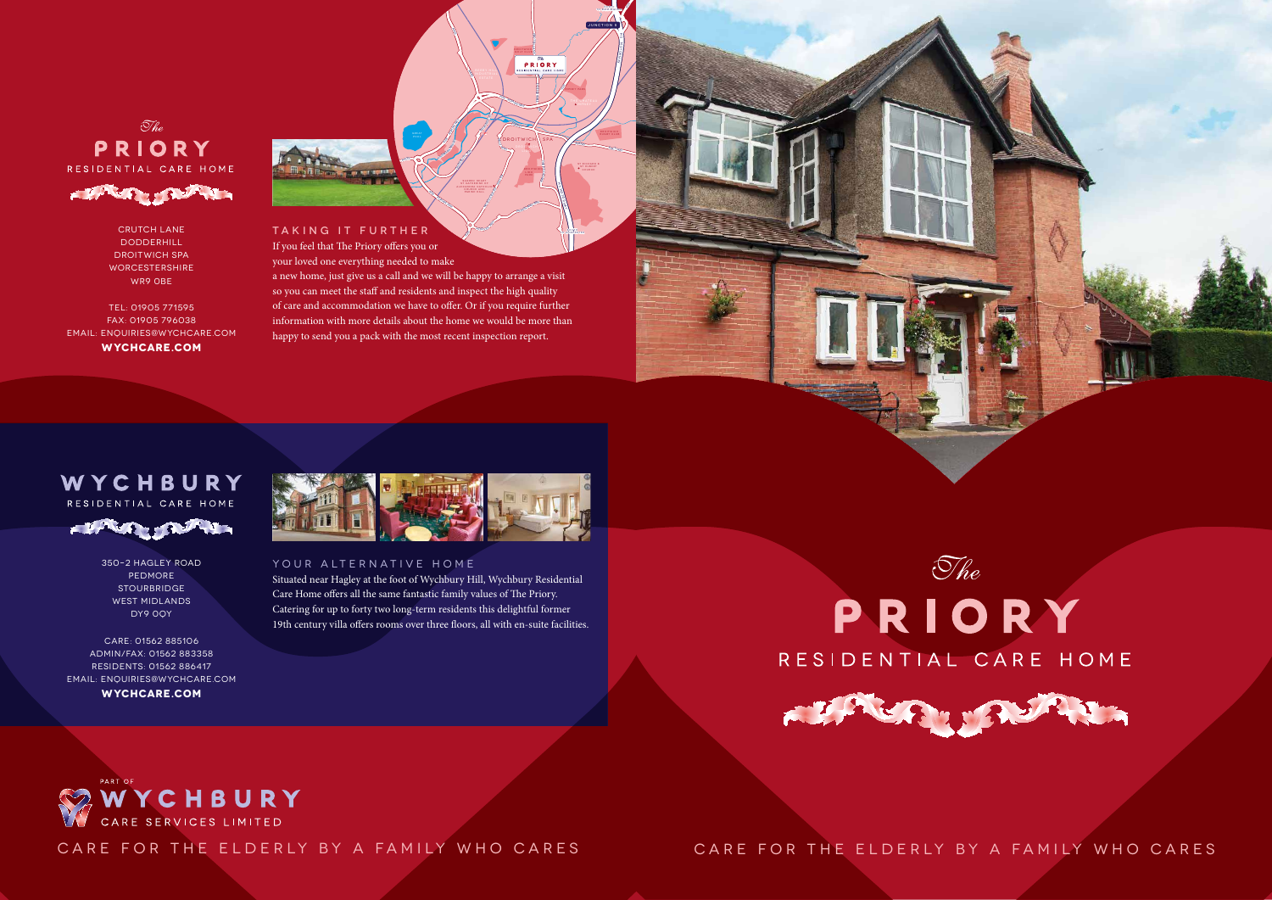<sup>A</sup>3<sup>8</sup> <sup>R</sup>oma<sup>n</sup> <sup>w</sup>a<sup>y</sup>

A38

A38 Roman Wat

<sup>R</sup>oma<sup>n</sup> <sup>W</sup>a<sup>y</sup>

A442

m

way

<sup>B</sup>409<sup>0</sup>

<sup>B</sup>4090

Salt wa<sup>y</sup>

Worcester Rd

**Addys Estate**<br>Addys Way

Te loway



DROITWICH\\SPA droitwich

Railway

OmbersleyWay



## WYCHBURY RESIDENTIAL CARE HOME



Sacred Heart St Catherine of Church and Parish Hall

 $\theta$ 

RACE DO DE LA PARTIE

**Salwarpe Rd** 

SOUTH TO WORCESTER

TAKING IT FURTHER If you feel that The Priory offers you or

your loved one everything needed to make

a new home, just give us a call and we will be happy to arrange a visit so you can meet the staff and residents and inspect the high quality of care and accommodation we have to offer. Or if you require further information with more details about the home we would be more than happy to send you a pack with the most recent inspection report.

River Salware

Situated near Hagley at the foot of Wychbury Hill, Wychbury Residential Care Home offers all the same fantastic family values of The Priory. Catering for up to forty two long-term residents this delightful former 19th century villa offers rooms over three floors, all with en-suite facilities.







CARE FOR THE ELDERLY BY A FAMILY WHO CARES

CARE FOR THE ELDERLY BY A FAMILY WHO CARES

 $\mathcal{I}_{he}$ PRIORY RESIDENTIAL CARE HOME



CRUTCH LANE **DODDERHILL** DROITWICH SPA **WORCESTERSHIRE** WR9 0BE

TEL: 01905 771595 FAX: 01905 796038 EMAIL: ENQUIRIES@WYCHCARE.COM **WYCHCARE.COM**

> 350–2 HAGLEY ROAD PEDMORE **STOURBRIDGE** WEST MIDLANDS DY9 0QY

CARE: 01562 885106 ADMIN/FAX: 01562 883358 RESIDENTS: 01562 886417 EMAIL: ENQUIRIES@WYCHCARE.COM **WYCHCARE.COM**



### YOUR ALTERNATIVE HOME